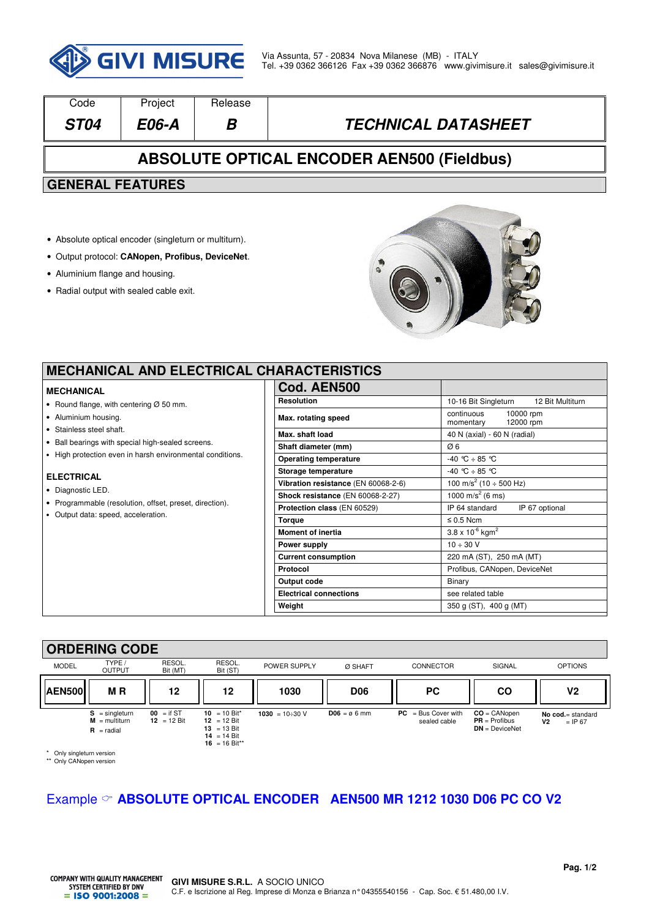

| Code                                                  | Project | Release |                            |  |  |  |  |
|-------------------------------------------------------|---------|---------|----------------------------|--|--|--|--|
| <b>ST04</b>                                           | E06-A   | В       | <b>TECHNICAL DATASHEET</b> |  |  |  |  |
| <b>ABSOLUTE OPTICAL ENCODER AEN500 (Fieldbus)</b>     |         |         |                            |  |  |  |  |
| <b>GENERAL FEATURES</b>                               |         |         |                            |  |  |  |  |
|                                                       |         |         |                            |  |  |  |  |
| • Absolute optical encoder (singleturn or multiturn). |         |         |                            |  |  |  |  |
| • Output protocol: CANopen, Profibus, DeviceNet.      |         |         |                            |  |  |  |  |

- Aluminium flange and housing.
- Radial output with sealed cable exit.



### **MECHANICAL AND ELECTRICAL CI**

#### **MECHANICAL**

- Round flange, with centering Ø 50 mm.
- Aluminium housing.
- Stainless steel shaft.
- Ball bearings with special high-sealed screens.
- High protection even in harsh environmental conditions.

#### **ELECTRICAL**

- Diagnostic LED.
- Programmable (resolution, offset, preset, direction).
- Output data: speed, acceleration.

| <b>HARACTERISTICS</b>               |                                                   |  |  |  |
|-------------------------------------|---------------------------------------------------|--|--|--|
| Cod. AEN500                         |                                                   |  |  |  |
| <b>Resolution</b>                   | 10-16 Bit Singleturn<br>12 Bit Multiturn          |  |  |  |
| Max. rotating speed                 | continuous<br>10000 rpm<br>12000 rpm<br>momentary |  |  |  |
| Max. shaft load                     | 40 N (axial) - 60 N (radial)                      |  |  |  |
| Shaft diameter (mm)                 | Ø6                                                |  |  |  |
| <b>Operating temperature</b>        | $-40$ °C $\div$ 85 °C                             |  |  |  |
| Storage temperature                 | $-40$ °C $\div$ 85 °C                             |  |  |  |
| Vibration resistance (EN 60068-2-6) | $\frac{1}{100}$ m/s <sup>2</sup> (10 ÷ 500 Hz)    |  |  |  |
| Shock resistance (EN 60068-2-27)    | 1000 m/s <sup>2</sup> (6 ms)                      |  |  |  |
| Protection class (EN 60529)         | IP 64 standard<br>IP 67 optional                  |  |  |  |
| <b>Torque</b>                       | $\leq 0.5$ Ncm                                    |  |  |  |
| <b>Moment of inertia</b>            | $3.8 \times 10^{-6}$ kgm <sup>2</sup>             |  |  |  |
| Power supply                        | $10 \div 30$ V                                    |  |  |  |
| <b>Current consumption</b>          | 220 mA (ST), 250 mA (MT)                          |  |  |  |
| Protocol                            | Profibus, CANopen, DeviceNet                      |  |  |  |
| Output code                         | Binary                                            |  |  |  |
| <b>Electrical connections</b>       | see related table                                 |  |  |  |
| Weight                              | 350 g (ST), 400 g (MT)                            |  |  |  |

#### **ORDERING CODE**

|               | VIIDLIIIIN VVDL                                            |                                       |                                                                                  |                       |               |                                       |                                                       |                                                    |
|---------------|------------------------------------------------------------|---------------------------------------|----------------------------------------------------------------------------------|-----------------------|---------------|---------------------------------------|-------------------------------------------------------|----------------------------------------------------|
| <b>MODEL</b>  | TYPE /<br><b>OUTPUT</b>                                    | RESOL.<br>Bit (MT)                    | RESOL.<br>Bit (ST)                                                               | POWER SUPPLY          | Ø SHAFT       | <b>CONNECTOR</b>                      | SIGNAL                                                | <b>OPTIONS</b>                                     |
| <b>AEN500</b> | M <sub>R</sub>                                             | 12                                    | 12                                                                               | 1030                  | <b>D06</b>    | <b>PC</b>                             | <b>CO</b>                                             | ٧2                                                 |
|               | $S =$ singleturn<br>$M = \text{multiturn}$<br>$R =$ radial | $00 =$ if ST<br>$12 = 12 \text{ Bit}$ | $10 = 10$ Bit*<br>12 = 12 Bit<br>$13 = 13$ Bit<br>$14 = 14$ Bit<br>16 = 16 Bit** | 1030 = $10 \div 30$ V | $D06 = 06$ mm | $PC = Bus Cover with$<br>sealed cable | $CO = CANopen$<br>$PR = Profibus$<br>$DN = DeviceNet$ | No $cod =$ standard<br>V <sub>2</sub><br>$=$ IP 67 |

\* Only singleturn version \*\* Only CANopen version

### Example **ABSOLUTE OPTICAL ENCODER AEN500 MR 1212 1030 D06 PC CO V2**